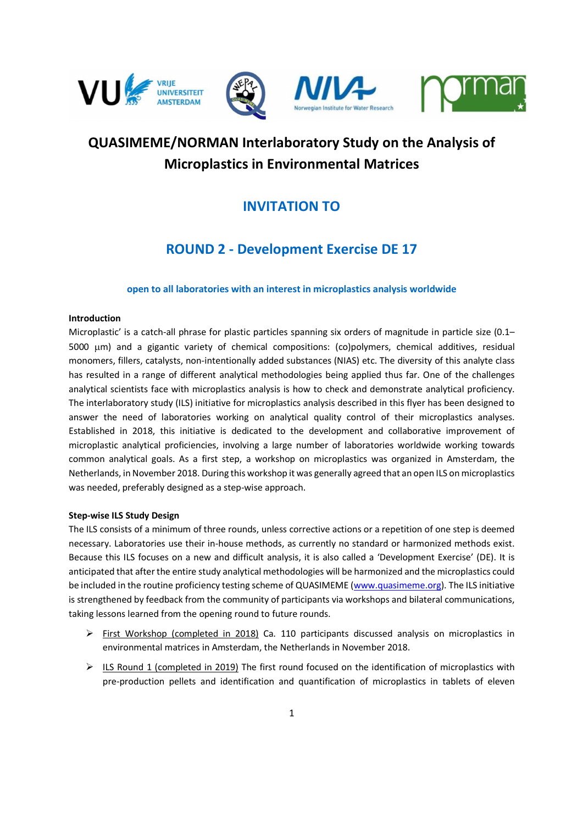







# QUASIMEME/NORMAN Interlaboratory Study on the Analysis of Microplastics in Environmental Matrices

### INVITATION TO

## ROUND 2 - Development Exercise DE 17

### open to all laboratories with an interest in microplastics analysis worldwide

#### Introduction

Microplastic' is a catch-all phrase for plastic particles spanning six orders of magnitude in particle size (0.1– 5000 µm) and a gigantic variety of chemical compositions: (co)polymers, chemical additives, residual monomers, fillers, catalysts, non-intentionally added substances (NIAS) etc. The diversity of this analyte class has resulted in a range of different analytical methodologies being applied thus far. One of the challenges analytical scientists face with microplastics analysis is how to check and demonstrate analytical proficiency. The interlaboratory study (ILS) initiative for microplastics analysis described in this flyer has been designed to answer the need of laboratories working on analytical quality control of their microplastics analyses. Established in 2018, this initiative is dedicated to the development and collaborative improvement of microplastic analytical proficiencies, involving a large number of laboratories worldwide working towards common analytical goals. As a first step, a workshop on microplastics was organized in Amsterdam, the Netherlands, in November 2018. During this workshop it was generally agreed that an open ILS on microplastics was needed, preferably designed as a step-wise approach.

#### Step-wise ILS Study Design

The ILS consists of a minimum of three rounds, unless corrective actions or a repetition of one step is deemed necessary. Laboratories use their in-house methods, as currently no standard or harmonized methods exist. Because this ILS focuses on a new and difficult analysis, it is also called a 'Development Exercise' (DE). It is anticipated that after the entire study analytical methodologies will be harmonized and the microplastics could be included in the routine proficiency testing scheme of QUASIMEME (www.quasimeme.org). The ILS initiative is strengthened by feedback from the community of participants via workshops and bilateral communications, taking lessons learned from the opening round to future rounds.

- $\triangleright$  First Workshop (completed in 2018) Ca. 110 participants discussed analysis on microplastics in environmental matrices in Amsterdam, the Netherlands in November 2018.
- $\triangleright$  ILS Round 1 (completed in 2019) The first round focused on the identification of microplastics with pre-production pellets and identification and quantification of microplastics in tablets of eleven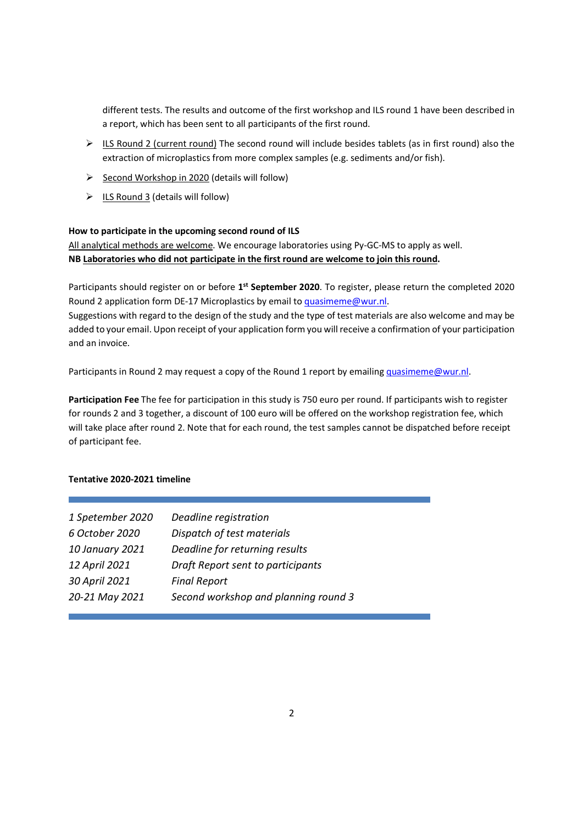different tests. The results and outcome of the first workshop and ILS round 1 have been described in a report, which has been sent to all participants of the first round.

- $\triangleright$  ILS Round 2 (current round) The second round will include besides tablets (as in first round) also the extraction of microplastics from more complex samples (e.g. sediments and/or fish).
- $\triangleright$  Second Workshop in 2020 (details will follow)
- $\triangleright$  ILS Round 3 (details will follow)

#### How to participate in the upcoming second round of ILS

All analytical methods are welcome. We encourage laboratories using Py-GC-MS to apply as well. NB Laboratories who did not participate in the first round are welcome to join this round.

Participants should register on or before 1<sup>st</sup> September 2020. To register, please return the completed 2020 Round 2 application form DE-17 Microplastics by email to quasimeme@wur.nl.

Suggestions with regard to the design of the study and the type of test materials are also welcome and may be added to your email. Upon receipt of your application form you will receive a confirmation of your participation and an invoice.

Participants in Round 2 may request a copy of the Round 1 report by emailing quasimeme@wur.nl.

Participation Fee The fee for participation in this study is 750 euro per round. If participants wish to register for rounds 2 and 3 together, a discount of 100 euro will be offered on the workshop registration fee, which will take place after round 2. Note that for each round, the test samples cannot be dispatched before receipt of participant fee.

#### Tentative 2020-2021 timeline

| 1 Spetember 2020 | Deadline registration                |
|------------------|--------------------------------------|
| 6 October 2020   | Dispatch of test materials           |
| 10 January 2021  | Deadline for returning results       |
| 12 April 2021    | Draft Report sent to participants    |
| 30 April 2021    | <b>Final Report</b>                  |
| 20-21 May 2021   | Second workshop and planning round 3 |
|                  |                                      |